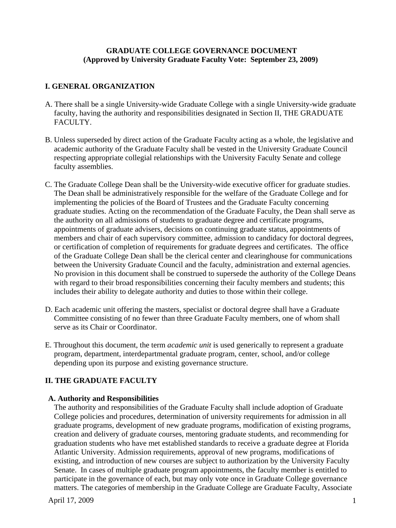### **GRADUATE COLLEGE GOVERNANCE DOCUMENT (Approved by University Graduate Faculty Vote: September 23, 2009)**

### **I. GENERAL ORGANIZATION**

- A. There shall be a single University-wide Graduate College with a single University-wide graduate faculty, having the authority and responsibilities designated in Section II, THE GRADUATE FACULTY.
- B. Unless superseded by direct action of the Graduate Faculty acting as a whole, the legislative and academic authority of the Graduate Faculty shall be vested in the University Graduate Council respecting appropriate collegial relationships with the University Faculty Senate and college faculty assemblies.
- C. The Graduate College Dean shall be the University-wide executive officer for graduate studies. The Dean shall be administratively responsible for the welfare of the Graduate College and for implementing the policies of the Board of Trustees and the Graduate Faculty concerning graduate studies. Acting on the recommendation of the Graduate Faculty, the Dean shall serve as the authority on all admissions of students to graduate degree and certificate programs, appointments of graduate advisers, decisions on continuing graduate status, appointments of members and chair of each supervisory committee, admission to candidacy for doctoral degrees, or certification of completion of requirements for graduate degrees and certificates. The office of the Graduate College Dean shall be the clerical center and clearinghouse for communications between the University Graduate Council and the faculty, administration and external agencies. No provision in this document shall be construed to supersede the authority of the College Deans with regard to their broad responsibilities concerning their faculty members and students; this includes their ability to delegate authority and duties to those within their college.
- D. Each academic unit offering the masters, specialist or doctoral degree shall have a Graduate Committee consisting of no fewer than three Graduate Faculty members, one of whom shall serve as its Chair or Coordinator.
- E. Throughout this document, the term *academic unit* is used generically to represent a graduate program, department, interdepartmental graduate program, center, school, and/or college depending upon its purpose and existing governance structure.

## **II. THE GRADUATE FACULTY**

#### **A. Authority and Responsibilities**

The authority and responsibilities of the Graduate Faculty shall include adoption of Graduate College policies and procedures, determination of university requirements for admission in all graduate programs, development of new graduate programs, modification of existing programs, creation and delivery of graduate courses, mentoring graduate students, and recommending for graduation students who have met established standards to receive a graduate degree at Florida Atlantic University. Admission requirements, approval of new programs, modifications of existing, and introduction of new courses are subject to authorization by the University Faculty Senate. In cases of multiple graduate program appointments, the faculty member is entitled to participate in the governance of each, but may only vote once in Graduate College governance matters. The categories of membership in the Graduate College are Graduate Faculty, Associate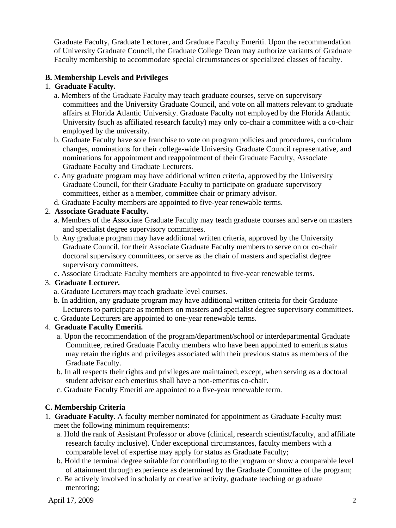Graduate Faculty, Graduate Lecturer, and Graduate Faculty Emeriti. Upon the recommendation of University Graduate Council, the Graduate College Dean may authorize variants of Graduate Faculty membership to accommodate special circumstances or specialized classes of faculty.

## **B. Membership Levels and Privileges**

#### 1. **Graduate Faculty.**

- a. Members of the Graduate Faculty may teach graduate courses, serve on supervisory committees and the University Graduate Council, and vote on all matters relevant to graduate affairs at Florida Atlantic University. Graduate Faculty not employed by the Florida Atlantic University (such as affiliated research faculty) may only co-chair a committee with a co-chair employed by the university.
- b. Graduate Faculty have sole franchise to vote on program policies and procedures, curriculum changes, nominations for their college-wide University Graduate Council representative, and nominations for appointment and reappointment of their Graduate Faculty, Associate Graduate Faculty and Graduate Lecturers.
- c. Any graduate program may have additional written criteria, approved by the University Graduate Council, for their Graduate Faculty to participate on graduate supervisory committees, either as a member, committee chair or primary advisor.
- d. Graduate Faculty members are appointed to five-year renewable terms.

## 2. **Associate Graduate Faculty.**

- a. Members of the Associate Graduate Faculty may teach graduate courses and serve on masters and specialist degree supervisory committees.
- b. Any graduate program may have additional written criteria, approved by the University Graduate Council, for their Associate Graduate Faculty members to serve on or co-chair doctoral supervisory committees, or serve as the chair of masters and specialist degree supervisory committees.
- c. Associate Graduate Faculty members are appointed to five-year renewable terms.

## 3. **Graduate Lecturer.**

- a. Graduate Lecturers may teach graduate level courses.
- b. In addition, any graduate program may have additional written criteria for their Graduate Lecturers to participate as members on masters and specialist degree supervisory committees.
- c. Graduate Lecturers are appointed to one-year renewable terms.

### 4. **Graduate Faculty Emeriti.**

- a. Upon the recommendation of the program/department/school or interdepartmental Graduate Committee, retired Graduate Faculty members who have been appointed to emeritus status may retain the rights and privileges associated with their previous status as members of the Graduate Faculty.
- b. In all respects their rights and privileges are maintained; except, when serving as a doctoral student advisor each emeritus shall have a non-emeritus co-chair.
- c. Graduate Faculty Emeriti are appointed to a five-year renewable term.

## **C. Membership Criteria**

- 1. **Graduate Faculty**. A faculty member nominated for appointment as Graduate Faculty must meet the following minimum requirements:
	- a. Hold the rank of Assistant Professor or above (clinical, research scientist/faculty, and affiliate research faculty inclusive). Under exceptional circumstances, faculty members with a comparable level of expertise may apply for status as Graduate Faculty;
	- b. Hold the terminal degree suitable for contributing to the program or show a comparable level of attainment through experience as determined by the Graduate Committee of the program;
	- c. Be actively involved in scholarly or creative activity, graduate teaching or graduate mentoring;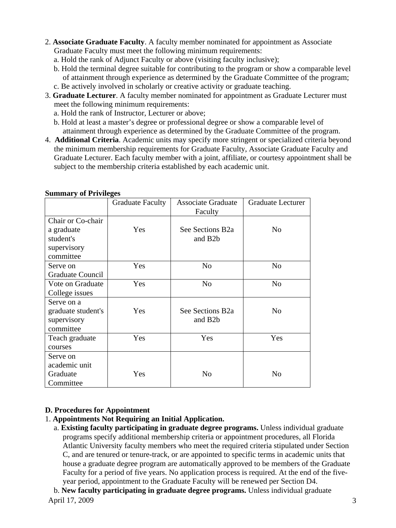- 2. **Associate Graduate Faculty**. A faculty member nominated for appointment as Associate Graduate Faculty must meet the following minimum requirements:
	- a. Hold the rank of Adjunct Faculty or above (visiting faculty inclusive);
	- b. Hold the terminal degree suitable for contributing to the program or show a comparable level of attainment through experience as determined by the Graduate Committee of the program;
	- c. Be actively involved in scholarly or creative activity or graduate teaching.
- 3. **Graduate Lecturer**. A faculty member nominated for appointment as Graduate Lecturer must meet the following minimum requirements:
	- a. Hold the rank of Instructor, Lecturer or above;
	- b. Hold at least a master's degree or professional degree or show a comparable level of attainment through experience as determined by the Graduate Committee of the program.
- 4. **Additional Criteria**. Academic units may specify more stringent or specialized criteria beyond the minimum membership requirements for Graduate Faculty, Associate Graduate Faculty and Graduate Lecturer. Each faculty member with a joint, affiliate, or courtesy appointment shall be subject to the membership criteria established by each academic unit.

|                         | <b>Graduate Faculty</b> | <b>Associate Graduate</b><br>Faculty | <b>Graduate Lecturer</b> |
|-------------------------|-------------------------|--------------------------------------|--------------------------|
| Chair or Co-chair       |                         |                                      |                          |
| a graduate              | Yes                     | See Sections B2a                     | N <sub>o</sub>           |
| student's               |                         | and B <sub>2</sub> b                 |                          |
| supervisory             |                         |                                      |                          |
| committee               |                         |                                      |                          |
| Serve on                | Yes                     | No                                   | No                       |
| <b>Graduate Council</b> |                         |                                      |                          |
| Vote on Graduate        | Yes                     | N <sub>o</sub>                       | N <sub>o</sub>           |
| College issues          |                         |                                      |                          |
| Serve on a              |                         |                                      |                          |
| graduate student's      | Yes                     | See Sections B2a                     | N <sub>o</sub>           |
| supervisory             |                         | and B <sub>2</sub> b                 |                          |
| committee               |                         |                                      |                          |
| Teach graduate          | Yes                     | Yes                                  | Yes                      |
| courses                 |                         |                                      |                          |
| Serve on                |                         |                                      |                          |
| academic unit           |                         |                                      |                          |
| Graduate                | Yes                     | No                                   | N <sub>0</sub>           |
| Committee               |                         |                                      |                          |

#### **Summary of Privileges**

## **D. Procedures for Appointment**

- 1. **Appointments Not Requiring an Initial Application.** 
	- a. **Existing faculty participating in graduate degree programs.** Unless individual graduate programs specify additional membership criteria or appointment procedures, all Florida Atlantic University faculty members who meet the required criteria stipulated under Section C, and are tenured or tenure-track, or are appointed to specific terms in academic units that house a graduate degree program are automatically approved to be members of the Graduate Faculty for a period of five years. No application process is required. At the end of the fiveyear period, appointment to the Graduate Faculty will be renewed per Section D4.

April 17, 2009 3 b. **New faculty participating in graduate degree programs.** Unless individual graduate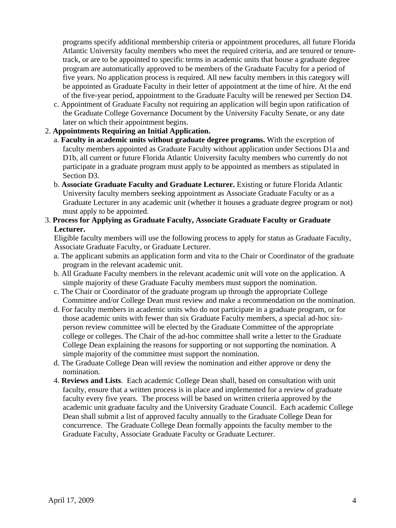programs specify additional membership criteria or appointment procedures, all future Florida Atlantic University faculty members who meet the required criteria, and are tenured or tenuretrack, or are to be appointed to specific terms in academic units that house a graduate degree program are automatically approved to be members of the Graduate Faculty for a period of five years. No application process is required. All new faculty members in this category will be appointed as Graduate Faculty in their letter of appointment at the time of hire. At the end of the five-year period, appointment to the Graduate Faculty will be renewed per Section D4.

c. Appointment of Graduate Faculty not requiring an application will begin upon ratification of the Graduate College Governance Document by the University Faculty Senate, or any date later on which their appointment begins.

### 2. **Appointments Requiring an Initial Application.**

- a. **Faculty in academic units without graduate degree programs.** With the exception of faculty members appointed as Graduate Faculty without application under Sections D1a and D1b, all current or future Florida Atlantic University faculty members who currently do not participate in a graduate program must apply to be appointed as members as stipulated in Section D3.
- b. **Associate Graduate Faculty and Graduate Lecturer.** Existing or future Florida Atlantic University faculty members seeking appointment as Associate Graduate Faculty or as a Graduate Lecturer in any academic unit (whether it houses a graduate degree program or not) must apply to be appointed.
- 3. **Process for Applying as Graduate Faculty, Associate Graduate Faculty or Graduate Lecturer.**

Eligible faculty members will use the following process to apply for status as Graduate Faculty, Associate Graduate Faculty, or Graduate Lecturer.

- a. The applicant submits an application form and vita to the Chair or Coordinator of the graduate program in the relevant academic unit.
- b. All Graduate Faculty members in the relevant academic unit will vote on the application. A simple majority of these Graduate Faculty members must support the nomination.
- c. The Chair or Coordinator of the graduate program up through the appropriate College Committee and/or College Dean must review and make a recommendation on the nomination.
- d. For faculty members in academic units who do not participate in a graduate program, or for those academic units with fewer than six Graduate Faculty members, a special ad-hoc sixperson review committee will be elected by the Graduate Committee of the appropriate college or colleges. The Chair of the ad-hoc committee shall write a letter to the Graduate College Dean explaining the reasons for supporting or not supporting the nomination. A simple majority of the committee must support the nomination.
- d. The Graduate College Dean will review the nomination and either approve or deny the nomination.
- 4. **Reviews and Lists**. Each academic College Dean shall, based on consultation with unit faculty, ensure that a written process is in place and implemented for a review of graduate faculty every five years. The process will be based on written criteria approved by the academic unit graduate faculty and the University Graduate Council. Each academic College Dean shall submit a list of approved faculty annually to the Graduate College Dean for concurrence. The Graduate College Dean formally appoints the faculty member to the Graduate Faculty, Associate Graduate Faculty or Graduate Lecturer.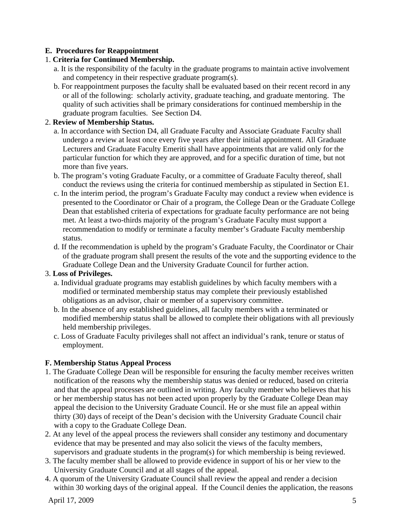## **E. Procedures for Reappointment**

### 1. **Criteria for Continued Membership.**

- a. It is the responsibility of the faculty in the graduate programs to maintain active involvement and competency in their respective graduate program(s).
- b. For reappointment purposes the faculty shall be evaluated based on their recent record in any or all of the following: scholarly activity, graduate teaching, and graduate mentoring. The quality of such activities shall be primary considerations for continued membership in the graduate program faculties. See Section D4.

### 2. **Review of Membership Status.**

- a. In accordance with Section D4, all Graduate Faculty and Associate Graduate Faculty shall undergo a review at least once every five years after their initial appointment. All Graduate Lecturers and Graduate Faculty Emeriti shall have appointments that are valid only for the particular function for which they are approved, and for a specific duration of time, but not more than five years.
- b. The program's voting Graduate Faculty, or a committee of Graduate Faculty thereof, shall conduct the reviews using the criteria for continued membership as stipulated in Section E1.
- c. In the interim period, the program's Graduate Faculty may conduct a review when evidence is presented to the Coordinator or Chair of a program, the College Dean or the Graduate College Dean that established criteria of expectations for graduate faculty performance are not being met. At least a two-thirds majority of the program's Graduate Faculty must support a recommendation to modify or terminate a faculty member's Graduate Faculty membership status.
- d. If the recommendation is upheld by the program's Graduate Faculty, the Coordinator or Chair of the graduate program shall present the results of the vote and the supporting evidence to the Graduate College Dean and the University Graduate Council for further action.

#### 3. **Loss of Privileges.**

- a. Individual graduate programs may establish guidelines by which faculty members with a modified or terminated membership status may complete their previously established obligations as an advisor, chair or member of a supervisory committee.
- b. In the absence of any established guidelines, all faculty members with a terminated or modified membership status shall be allowed to complete their obligations with all previously held membership privileges.
- c. Loss of Graduate Faculty privileges shall not affect an individual's rank, tenure or status of employment.

## **F. Membership Status Appeal Process**

- 1. The Graduate College Dean will be responsible for ensuring the faculty member receives written notification of the reasons why the membership status was denied or reduced, based on criteria and that the appeal processes are outlined in writing. Any faculty member who believes that his or her membership status has not been acted upon properly by the Graduate College Dean may appeal the decision to the University Graduate Council. He or she must file an appeal within thirty (30) days of receipt of the Dean's decision with the University Graduate Council chair with a copy to the Graduate College Dean.
- 2. At any level of the appeal process the reviewers shall consider any testimony and documentary evidence that may be presented and may also solicit the views of the faculty members, supervisors and graduate students in the program(s) for which membership is being reviewed.
- 3. The faculty member shall be allowed to provide evidence in support of his or her view to the University Graduate Council and at all stages of the appeal.
- 4. A quorum of the University Graduate Council shall review the appeal and render a decision within 30 working days of the original appeal. If the Council denies the application, the reasons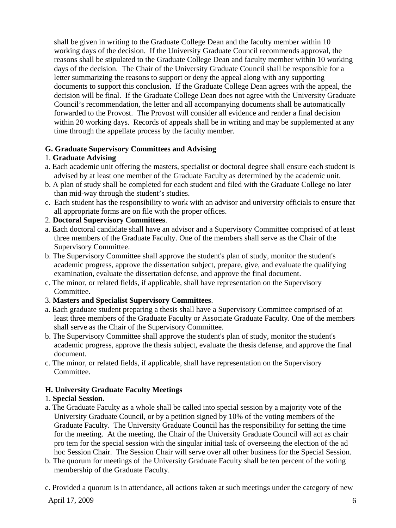shall be given in writing to the Graduate College Dean and the faculty member within 10 working days of the decision. If the University Graduate Council recommends approval, the reasons shall be stipulated to the Graduate College Dean and faculty member within 10 working days of the decision. The Chair of the University Graduate Council shall be responsible for a letter summarizing the reasons to support or deny the appeal along with any supporting documents to support this conclusion. If the Graduate College Dean agrees with the appeal, the decision will be final. If the Graduate College Dean does not agree with the University Graduate Council's recommendation, the letter and all accompanying documents shall be automatically forwarded to the Provost. The Provost will consider all evidence and render a final decision within 20 working days. Records of appeals shall be in writing and may be supplemented at any time through the appellate process by the faculty member.

## **G. Graduate Supervisory Committees and Advising**

# 1. **Graduate Advising**

- a. Each academic unit offering the masters, specialist or doctoral degree shall ensure each student is advised by at least one member of the Graduate Faculty as determined by the academic unit.
- b. A plan of study shall be completed for each student and filed with the Graduate College no later than mid-way through the student's studies.
- c. Each student has the responsibility to work with an advisor and university officials to ensure that all appropriate forms are on file with the proper offices.

# 2. **Doctoral Supervisory Committees**.

- a. Each doctoral candidate shall have an advisor and a Supervisory Committee comprised of at least three members of the Graduate Faculty. One of the members shall serve as the Chair of the Supervisory Committee.
- b. The Supervisory Committee shall approve the student's plan of study, monitor the student's academic progress, approve the dissertation subject, prepare, give, and evaluate the qualifying examination, evaluate the dissertation defense, and approve the final document.
- c. The minor, or related fields, if applicable, shall have representation on the Supervisory Committee.
- 3. **Masters and Specialist Supervisory Committees**.
- a. Each graduate student preparing a thesis shall have a Supervisory Committee comprised of at least three members of the Graduate Faculty or Associate Graduate Faculty. One of the members shall serve as the Chair of the Supervisory Committee.
- b. The Supervisory Committee shall approve the student's plan of study, monitor the student's academic progress, approve the thesis subject, evaluate the thesis defense, and approve the final document.
- c. The minor, or related fields, if applicable, shall have representation on the Supervisory Committee.

# **H. University Graduate Faculty Meetings**

## 1. **Special Session.**

- a. The Graduate Faculty as a whole shall be called into special session by a majority vote of the University Graduate Council, or by a petition signed by 10% of the voting members of the Graduate Faculty. The University Graduate Council has the responsibility for setting the time for the meeting. At the meeting, the Chair of the University Graduate Council will act as chair pro tem for the special session with the singular initial task of overseeing the election of the ad hoc Session Chair. The Session Chair will serve over all other business for the Special Session.
- b. The quorum for meetings of the University Graduate Faculty shall be ten percent of the voting membership of the Graduate Faculty.
- c. Provided a quorum is in attendance, all actions taken at such meetings under the category of new